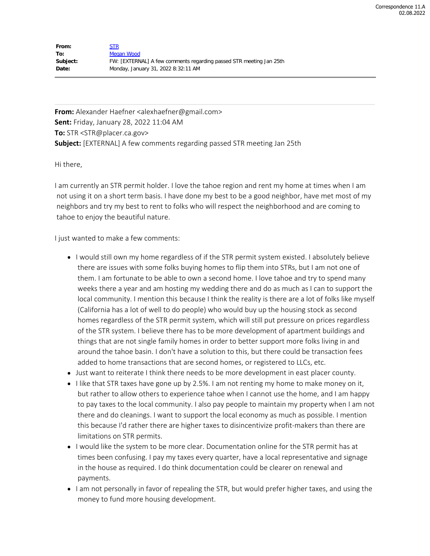| From:    | <b>STR</b>                                                          |
|----------|---------------------------------------------------------------------|
| To:      | Megan Wood                                                          |
| Subject: | FW: [EXTERNAL] A few comments regarding passed STR meeting Jan 25th |
| Date:    | Monday, January 31, 2022 8:32:11 AM                                 |

From: Alexander Haefner <alexhaefner@gmail.com> **Sent:** Friday, January 28, 2022 11:04 AM **To:** STR <STR@placer.ca.gov> **Subject:** [EXTERNAL] A few comments regarding passed STR meeting Jan 25th

Hi there,

I am currently an STR permit holder. I love the tahoe region and rent my home at times when I am not using it on a short term basis. I have done my best to be a good neighbor, have met most of my neighbors and try my best to rent to folks who will respect the neighborhood and are coming to tahoe to enjoy the beautiful nature.

I just wanted to make a few comments:

- I would still own my home regardless of if the STR permit system existed. I absolutely believe there are issues with some folks buying homes to flip them into STRs, but I am not one of them. I am fortunate to be able to own a second home. I love tahoe and try to spend many weeks there a year and am hosting my wedding there and do as much as I can to support the local community. I mention this because I think the reality is there are a lot of folks like myself (California has a lot of well to do people) who would buy up the housing stock as second homes regardless of the STR permit system, which will still put pressure on prices regardless of the STR system. I believe there has to be more development of apartment buildings and things that are not single family homes in order to better support more folks living in and around the tahoe basin. I don't have a solution to this, but there could be transaction fees added to home transactions that are second homes, or registered to LLCs, etc.
- Just want to reiterate I think there needs to be more development in east placer county.
- $\bullet$  I like that STR taxes have gone up by 2.5%. I am not renting my home to make money on it, but rather to allow others to experience tahoe when I cannot use the home, and I am happy to pay taxes to the local community. I also pay people to maintain my property when I am not there and do cleanings. I want to support the local economy as much as possible. I mention this because I'd rather there are higher taxes to disincentivize profit-makers than there are limitations on STR permits.
- I would like the system to be more clear. Documentation online for the STR permit has at times been confusing. I pay my taxes every quarter, have a local representative and signage in the house as required. I do think documentation could be clearer on renewal and payments.
- I am not personally in favor of repealing the STR, but would prefer higher taxes, and using the money to fund more housing development.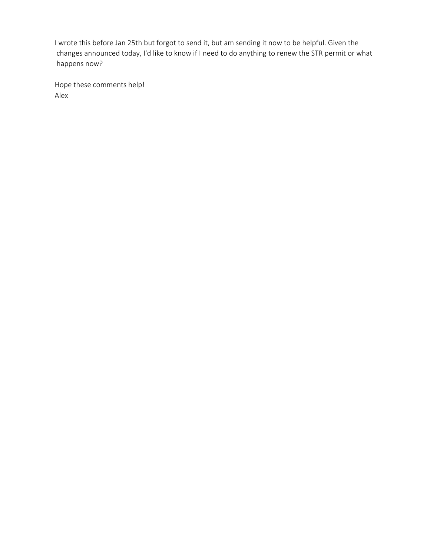I wrote this before Jan 25th but forgot to send it, but am sending it now to be helpful. Given the changes announced today, I'd like to know if I need to do anything to renew the STR permit or what happens now?

Hope these comments help! Alex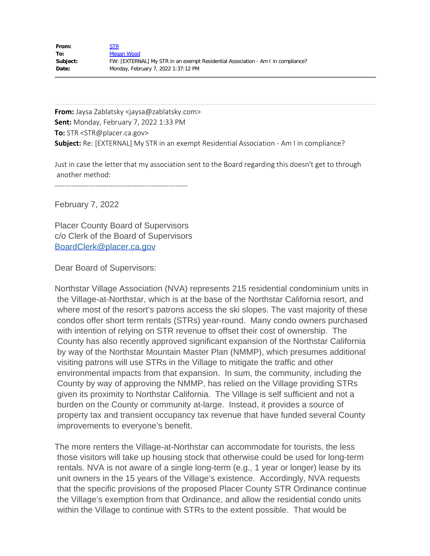| From:    | STR                                                                              |
|----------|----------------------------------------------------------------------------------|
| To:      | Megan Wood                                                                       |
| Subject: | FW: [EXTERNAL] My STR in an exempt Residential Association - Am I in compliance? |
| Date:    | Monday, February 7, 2022 1:37:12 PM                                              |

**From:** Jaysa Zablatsky <jaysa@zablatsky.com> **Sent:** Monday, February 7, 2022 1:33 PM **To:** STR <STR@placer.ca.gov> **Subject:** Re: [EXTERNAL] My STR in an exempt Residential Association - Am I in compliance?

Just in case the letter that my association sent to the Board regarding this doesn't get to through another method:

-------------------------------------------------------

February 7, 2022

Placer County Board of Supervisors c/o Clerk of the Board of Supervisors [BoardClerk@placer.ca.gov](mailto:BoardClerk@placer.ca.gov)

Dear Board of Supervisors:

Northstar Village Association (NVA) represents 215 residential condominium units in the Village-at-Northstar, which is at the base of the Northstar California resort, and where most of the resort's patrons access the ski slopes. The vast majority of these condos offer short term rentals (STRs) year-round. Many condo owners purchased with intention of relying on STR revenue to offset their cost of ownership. The County has also recently approved significant expansion of the Northstar California by way of the Northstar Mountain Master Plan (NMMP), which presumes additional visiting patrons will use STRs in the Village to mitigate the traffic and other environmental impacts from that expansion. In sum, the community, including the County by way of approving the NMMP, has relied on the Village providing STRs given its proximity to Northstar California. The Village is self sufficient and not a burden on the County or community at-large. Instead, it provides a source of property tax and transient occupancy tax revenue that have funded several County improvements to everyone's benefit.

The more renters the Village-at-Northstar can accommodate for tourists, the less those visitors will take up housing stock that otherwise could be used for long-term rentals. NVA is not aware of a single long-term (e.g., 1 year or longer) lease by its unit owners in the 15 years of the Village's existence. Accordingly, NVA requests that the specific provisions of the proposed Placer County STR Ordinance continue the Village's exemption from that Ordinance, and allow the residential condo units within the Village to continue with STRs to the extent possible. That would be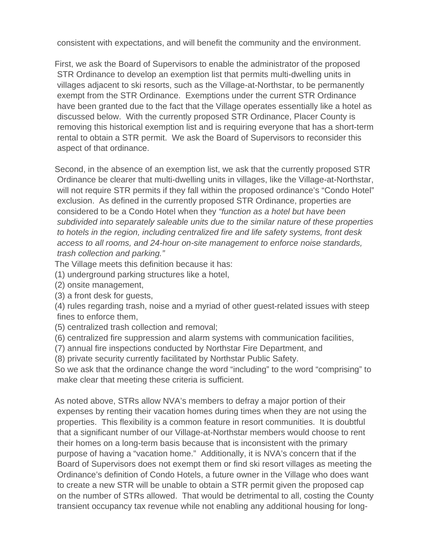consistent with expectations, and will benefit the community and the environment.

First, we ask the Board of Supervisors to enable the administrator of the proposed STR Ordinance to develop an exemption list that permits multi-dwelling units in villages adjacent to ski resorts, such as the Village-at-Northstar, to be permanently exempt from the STR Ordinance. Exemptions under the current STR Ordinance have been granted due to the fact that the Village operates essentially like a hotel as discussed below. With the currently proposed STR Ordinance, Placer County is removing this historical exemption list and is requiring everyone that has a short-term rental to obtain a STR permit. We ask the Board of Supervisors to reconsider this aspect of that ordinance.

Second, in the absence of an exemption list, we ask that the currently proposed STR Ordinance be clearer that multi-dwelling units in villages, like the Village-at-Northstar, will not require STR permits if they fall within the proposed ordinance's "Condo Hotel" exclusion. As defined in the currently proposed STR Ordinance, properties are considered to be a Condo Hotel when they *"function as a hotel but have been subdivided into separately saleable units due to the similar nature of these properties to hotels in the region, including centralized fire and life safety systems, front desk access to all rooms, and 24-hour on-site management to enforce noise standards, trash collection and parking."* 

The Village meets this definition because it has:

- (1) underground parking structures like a hotel,
- (2) onsite management,
- (3) a front desk for guests,
- (4) rules regarding trash, noise and a myriad of other guest-related issues with steep fines to enforce them,
- (5) centralized trash collection and removal;
- (6) centralized fire suppression and alarm systems with communication facilities,
- (7) annual fire inspections conducted by Northstar Fire Department, and

(8) private security currently facilitated by Northstar Public Safety.

So we ask that the ordinance change the word "including" to the word "comprising" to make clear that meeting these criteria is sufficient.

As noted above, STRs allow NVA's members to defray a major portion of their expenses by renting their vacation homes during times when they are not using the properties. This flexibility is a common feature in resort communities. It is doubtful that a significant number of our Village-at-Northstar members would choose to rent their homes on a long-term basis because that is inconsistent with the primary purpose of having a "vacation home." Additionally, it is NVA's concern that if the Board of Supervisors does not exempt them or find ski resort villages as meeting the Ordinance's definition of Condo Hotels, a future owner in the Village who does want to create a new STR will be unable to obtain a STR permit given the proposed cap on the number of STRs allowed. That would be detrimental to all, costing the County transient occupancy tax revenue while not enabling any additional housing for long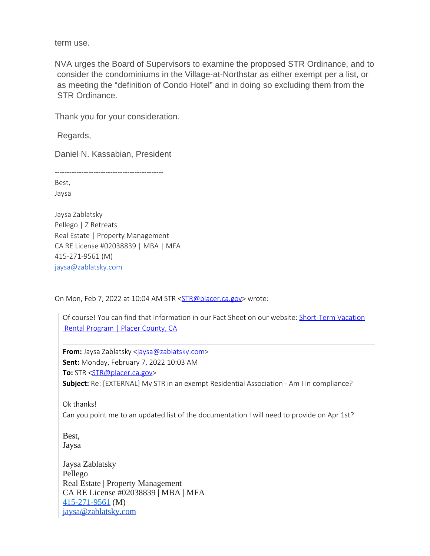term use.

NVA urges the Board of Supervisors to examine the proposed STR Ordinance, and to consider the condominiums in the Village-at-Northstar as either exempt per a list, or as meeting the "definition of Condo Hotel" and in doing so excluding them from the STR Ordinance.

Thank you for your consideration.

Regards,

Daniel N. Kassabian, President

Best,

Jaysa

Jaysa Zablatsky Pellego | Z Retreats Real Estate | Property Management CA RE License #02038839 | MBA | MFA 415-271-9561 (M) [jaysa@zablatsky.com](mailto:jaysa@zablatsky.com)

On Mon, Feb 7, 2022 at 10:04 AM STR [<STR@placer.ca.gov](mailto:STR@placer.ca.gov)> wrote:

Of course! You can find that information in our Fact Sheet on our website: [Short-Term](https://protect-us.mimecast.com/s/V4ZaCwpl9Ei0G912hVvAcH?domain=placer.ca.gov) Vacation Rental [Program](https://protect-us.mimecast.com/s/V4ZaCwpl9Ei0G912hVvAcH?domain=placer.ca.gov) | Placer County, CA

**From:** Jaysa Zablatsky [<jaysa@zablatsky.com](mailto:jaysa@zablatsky.com)> **Sent:** Monday, February 7, 2022 10:03 AM **To:** STR [<STR@placer.ca.gov](mailto:STR@placer.ca.gov)> **Subject:** Re: [EXTERNAL] My STR in an exempt Residential Association - Am I in compliance?

Ok thanks!

Can you point me to an updated list of the documentation I will need to provide on Apr 1st?

Best, Jaysa

Jaysa Zablatsky Pellego Real Estate | Property Management CA RE License #02038839 | MBA | MFA [415-271-9561](tel:+14152719561) (M) [jaysa@zablatsky.com](mailto:jaysa@zablatsky.com)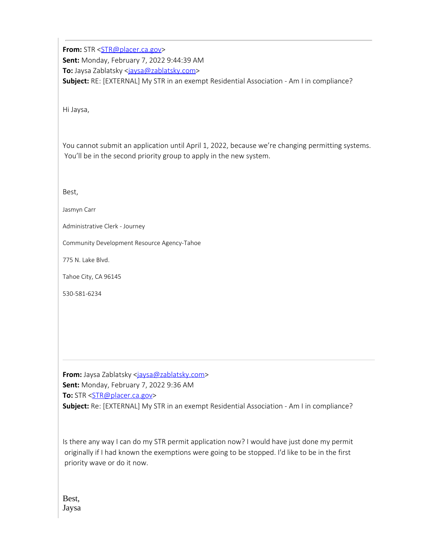**From:** STR [<STR@placer.ca.gov](mailto:STR@placer.ca.gov)> **Sent:** Monday, February 7, 2022 9:44:39 AM **To:** Jaysa Zablatsky [<jaysa@zablatsky.com](mailto:jaysa@zablatsky.com)> **Subject:** RE: [EXTERNAL] My STR in an exempt Residential Association - Am I in compliance?

Hi Jaysa,

You cannot submit an application until April 1, 2022, because we're changing permitting systems. You'll be in the second priority group to apply in the new system.

Best,

Jasmyn Carr

Administrative Clerk - Journey

Community Development Resource Agency-Tahoe

775 N. Lake Blvd.

Tahoe City, CA 96145

530-581-6234

**From:** Jaysa Zablatsky [<jaysa@zablatsky.com](mailto:jaysa@zablatsky.com)> **Sent:** Monday, February 7, 2022 9:36 AM **To:** STR [<STR@placer.ca.gov](mailto:STR@placer.ca.gov)> **Subject:** Re: [EXTERNAL] My STR in an exempt Residential Association - Am I in compliance?

Is there any way I can do my STR permit application now? I would have just done my permit originally if I had known the exemptions were going to be stopped. I'd like to be in the first priority wave or do it now.

Best, Jaysa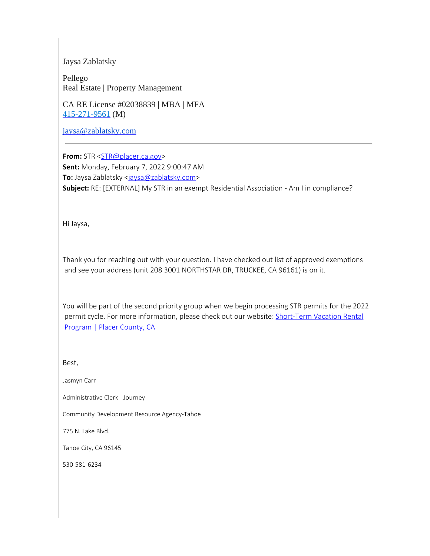### Jaysa Zablatsky

Pellego Real Estate | Property Management

CA RE License #02038839 | MBA | MFA [415-271-9561](tel:+14152719561) (M)

[jaysa@zablatsky.com](mailto:jaysa@zablatsky.com)

**From:** STR [<STR@placer.ca.gov](mailto:STR@placer.ca.gov)> **Sent:** Monday, February 7, 2022 9:00:47 AM To: Jaysa Zablatsky [<jaysa@zablatsky.com](mailto:jaysa@zablatsky.com)> **Subject:** RE: [EXTERNAL] My STR in an exempt Residential Association - Am I in compliance?

Hi Jaysa,

Thank you for reaching out with your question. I have checked out list of approved exemptions and see your address (unit 208 3001 NORTHSTAR DR, TRUCKEE, CA 96161) is on it.

You will be part of the second priority group when we begin processing STR permits for the 2022 permit cycle. For more information, please check out our website: [Short-Term](https://protect-us.mimecast.com/s/V4ZaCwpl9Ei0G912hVvAcH?domain=placer.ca.gov) Vacation Rental [Program](https://protect-us.mimecast.com/s/V4ZaCwpl9Ei0G912hVvAcH?domain=placer.ca.gov) | Placer County, CA

Best,

Jasmyn Carr

Administrative Clerk - Journey

Community Development Resource Agency-Tahoe

775 N. Lake Blvd.

Tahoe City, CA 96145

530-581-6234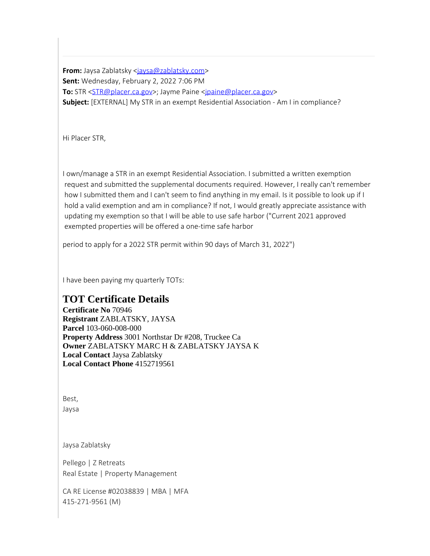**From:** Jaysa Zablatsky [<jaysa@zablatsky.com](mailto:jaysa@zablatsky.com)> **Sent:** Wednesday, February 2, 2022 7:06 PM **To:** STR [<STR@placer.ca.gov](mailto:STR@placer.ca.gov)>; Jayme Paine [<jpaine@placer.ca.gov](mailto:jpaine@placer.ca.gov)> **Subject:** [EXTERNAL] My STR in an exempt Residential Association - Am I in compliance?

Hi Placer STR,

I own/manage a STR in an exempt Residential Association. I submitted a written exemption request and submitted the supplemental documents required. However, I really can't remember how I submitted them and I can't seem to find anything in my email. Is it possible to look up if I hold a valid exemption and am in compliance? If not, I would greatly appreciate assistance with updating my exemption so that I will be able to use safe harbor ("Current 2021 approved exempted properties will be offered a one-time safe harbor

period to apply for a 2022 STR permit within 90 days of March 31, 2022")

I have been paying my quarterly TOTs:

## **TOT Certificate Details**

**Certificate No** 70946 **Registrant** ZABLATSKY, JAYSA **Parcel** 103-060-008-000 **Property Address** 3001 Northstar Dr #208, Truckee Ca **Owner** ZABLATSKY MARC H & ZABLATSKY JAYSA K **Local Contact** Jaysa Zablatsky **Local Contact Phone** 4152719561

Best, Jaysa

Jaysa Zablatsky

Pellego | Z Retreats Real Estate | Property Management

CA RE License #02038839 | MBA | MFA 415-271-9561 (M)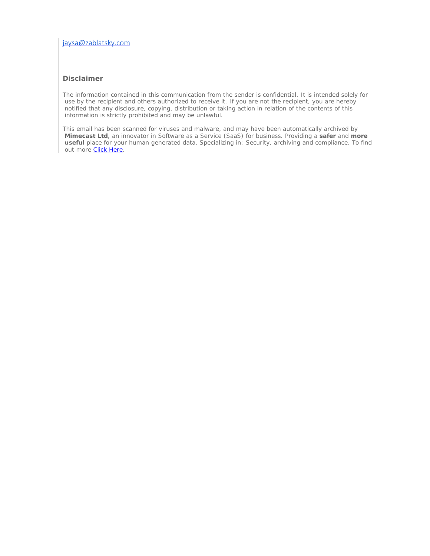### [jaysa@zablatsky.com](mailto:jaysa@zablatsky.com)

#### **Disclaimer**

The information contained in this communication from the sender is confidential. It is intended solely for use by the recipient and others authorized to receive it. If you are not the recipient, you are hereby notified that any disclosure, copying, distribution or taking action in relation of the contents of this information is strictly prohibited and may be unlawful.

This email has been scanned for viruses and malware, and may have been automatically archived by **Mimecast Ltd**, an innovator in Software as a Service (SaaS) for business. Providing a **safer** and **more useful** place for your human generated data. Specializing in; Security, archiving and compliance. To find out more **[Click Here](https://protect-us.mimecast.com/s/NqlsCxkmqVim1wAzsvzw2m?domain=mimecast.com/)**.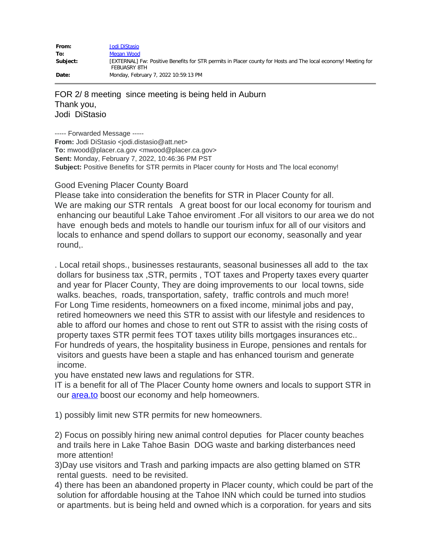| From:    | Jodi DiStasio                                                                                                                         |
|----------|---------------------------------------------------------------------------------------------------------------------------------------|
| To:      | Megan Wood                                                                                                                            |
| Subject: | [EXTERNAL] Fw: Positive Benefits for STR permits in Placer county for Hosts and The local economy! Meeting for<br><b>FEBUASRY 8TH</b> |
| Date:    | Monday, February 7, 2022 10:59:13 PM                                                                                                  |

FOR 2/ 8 meeting since meeting is being held in Auburn Thank you, Jodi DiStasio

----- Forwarded Message ----- **From:** Jodi DiStasio <jodi.distasio@att.net> **To:** mwood@placer.ca.gov <mwood@placer.ca.gov> **Sent:** Monday, February 7, 2022, 10:46:36 PM PST **Subject:** Positive Benefits for STR permits in Placer county for Hosts and The local economy!

### Good Evening Placer County Board

Please take into consideration the benefits for STR in Placer County for all. We are making our STR rentals A great boost for our local economy for tourism and enhancing our beautiful Lake Tahoe enviroment .For all visitors to our area we do not have enough beds and motels to handle our tourism infux for all of our visitors and locals to enhance and spend dollars to support our economy, seasonally and year round,.

. Local retail shops., businesses restaurants, seasonal businesses all add to the tax dollars for business tax ,STR, permits , TOT taxes and Property taxes every quarter and year for Placer County, They are doing improvements to our local towns, side walks. beaches, roads, transportation, safety, traffic controls and much more! For Long Time residents, homeowners on a fixed income, minimal jobs and pay, retired homeowners we need this STR to assist with our lifestyle and residences to able to afford our homes and chose to rent out STR to assist with the rising costs of property taxes STR permit fees TOT taxes utility bills mortgages insurances etc.. For hundreds of years, the hospitality business in Europe, pensiones and rentals for visitors and guests have been a staple and has enhanced tourism and generate income.

you have enstated new laws and regulations for STR.

IT is a benefit for all of The Placer County home owners and locals to support STR in our **area.to** boost our economy and help homeowners.

1) possibly limit new STR permits for new homeowners.

2) Focus on possibly hiring new animal control deputies for Placer county beaches and trails here in Lake Tahoe Basin DOG waste and barking disterbances need more attention!

3)Day use visitors and Trash and parking impacts are also getting blamed on STR rental guests. need to be revisited.

4) there has been an abandoned property in Placer county, which could be part of the solution for affordable housing at the Tahoe INN which could be turned into studios or apartments. but is being held and owned which is a corporation. for years and sits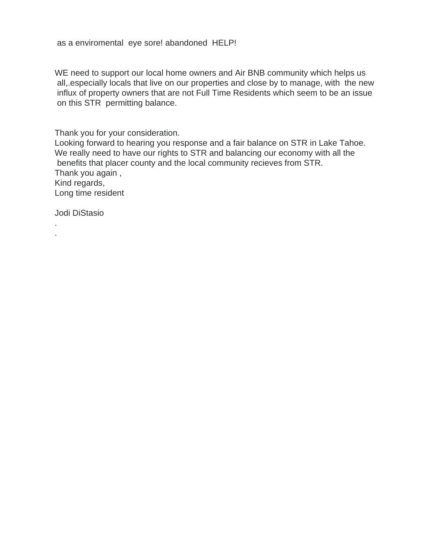as a enviromental eye sore! abandoned HELP!

WE need to support our local home owners and Air BNB community which helps us all,.especially locals that live on our properties and close by to manage, with the new influx of property owners that are not Full Time Residents which seem to be an issue on this STR permitting balance.

Thank you for your consideration.

Looking forward to hearing you response and a fair balance on STR in Lake Tahoe. We really need to have our rights to STR and balancing our economy with all the benefits that placer county and the local community recieves from STR. Thank you again , Kind regards, Long time resident

Jodi DiStasio

. .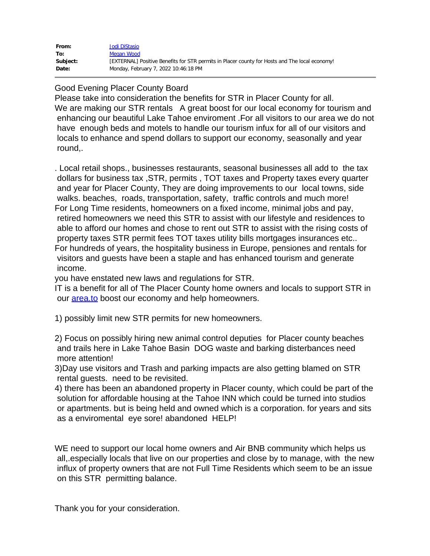| From:    | Jodi DiStasio                                                                                  |
|----------|------------------------------------------------------------------------------------------------|
| To:      | Megan Wood                                                                                     |
| Subject: | [EXTERNAL] Positive Benefits for STR permits in Placer county for Hosts and The local economy! |
| Date:    | Monday, February 7, 2022 10:46:18 PM                                                           |

### Good Evening Placer County Board

Please take into consideration the benefits for STR in Placer County for all. We are making our STR rentals A great boost for our local economy for tourism and enhancing our beautiful Lake Tahoe enviroment .For all visitors to our area we do not have enough beds and motels to handle our tourism infux for all of our visitors and locals to enhance and spend dollars to support our economy, seasonally and year round,.

. Local retail shops., businesses restaurants, seasonal businesses all add to the tax dollars for business tax ,STR, permits , TOT taxes and Property taxes every quarter and year for Placer County, They are doing improvements to our local towns, side walks. beaches, roads, transportation, safety, traffic controls and much more! For Long Time residents, homeowners on a fixed income, minimal jobs and pay, retired homeowners we need this STR to assist with our lifestyle and residences to able to afford our homes and chose to rent out STR to assist with the rising costs of property taxes STR permit fees TOT taxes utility bills mortgages insurances etc.. For hundreds of years, the hospitality business in Europe, pensiones and rentals for visitors and guests have been a staple and has enhanced tourism and generate income.

you have enstated new laws and regulations for STR.

IT is a benefit for all of The Placer County home owners and locals to support STR in our **area.to** boost our economy and help homeowners.

1) possibly limit new STR permits for new homeowners.

2) Focus on possibly hiring new animal control deputies for Placer county beaches and trails here in Lake Tahoe Basin DOG waste and barking disterbances need more attention!

3)Day use visitors and Trash and parking impacts are also getting blamed on STR rental guests. need to be revisited.

4) there has been an abandoned property in Placer county, which could be part of the solution for affordable housing at the Tahoe INN which could be turned into studios or apartments. but is being held and owned which is a corporation. for years and sits as a enviromental eye sore! abandoned HELP!

WE need to support our local home owners and Air BNB community which helps us all,.especially locals that live on our properties and close by to manage, with the new influx of property owners that are not Full Time Residents which seem to be an issue on this STR permitting balance.

Thank you for your consideration.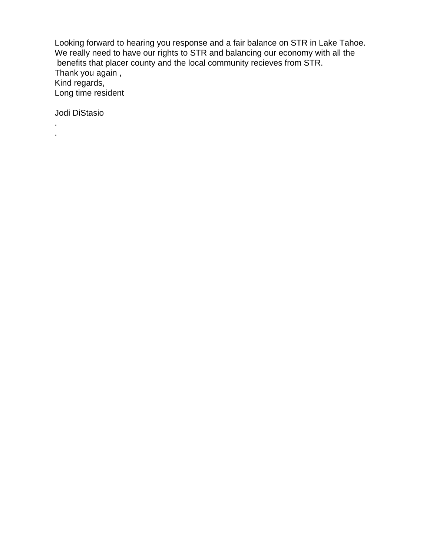Looking forward to hearing you response and a fair balance on STR in Lake Tahoe. We really need to have our rights to STR and balancing our economy with all the benefits that placer county and the local community recieves from STR. Thank you again , Kind regards, Long time resident

Jodi DiStasio

. .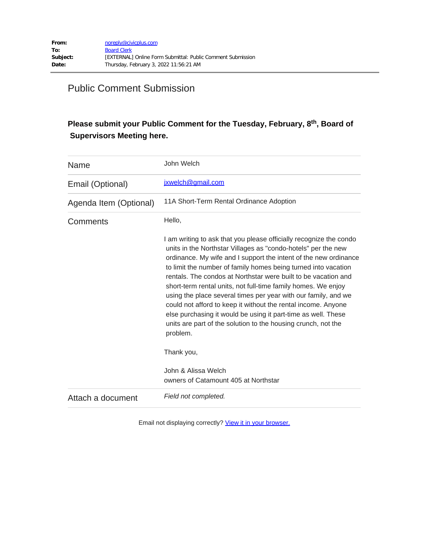# Public Comment Submission

## Please submit your Public Comment for the Tuesday, February, 8<sup>th</sup>, Board of  **Supervisors Meeting here.**

| Name                   | John Welch                                                                                                                                                                                                                                                                                                                                                                                                                                                                                                                                                                                                                                                                                    |
|------------------------|-----------------------------------------------------------------------------------------------------------------------------------------------------------------------------------------------------------------------------------------------------------------------------------------------------------------------------------------------------------------------------------------------------------------------------------------------------------------------------------------------------------------------------------------------------------------------------------------------------------------------------------------------------------------------------------------------|
| Email (Optional)       | ixwelch@gmail.com                                                                                                                                                                                                                                                                                                                                                                                                                                                                                                                                                                                                                                                                             |
| Agenda Item (Optional) | 11A Short-Term Rental Ordinance Adoption                                                                                                                                                                                                                                                                                                                                                                                                                                                                                                                                                                                                                                                      |
| Comments               | Hello,                                                                                                                                                                                                                                                                                                                                                                                                                                                                                                                                                                                                                                                                                        |
|                        | I am writing to ask that you please officially recognize the condo<br>units in the Northstar Villages as "condo-hotels" per the new<br>ordinance. My wife and I support the intent of the new ordinance<br>to limit the number of family homes being turned into vacation<br>rentals. The condos at Northstar were built to be vacation and<br>short-term rental units, not full-time family homes. We enjoy<br>using the place several times per year with our family, and we<br>could not afford to keep it without the rental income. Anyone<br>else purchasing it would be using it part-time as well. These<br>units are part of the solution to the housing crunch, not the<br>problem. |
|                        | Thank you,                                                                                                                                                                                                                                                                                                                                                                                                                                                                                                                                                                                                                                                                                    |
|                        | John & Alissa Welch<br>owners of Catamount 405 at Northstar                                                                                                                                                                                                                                                                                                                                                                                                                                                                                                                                                                                                                                   |
| Attach a document      | Field not completed.                                                                                                                                                                                                                                                                                                                                                                                                                                                                                                                                                                                                                                                                          |

Email not displaying correctly? [View it in your browser.](https://protect-us.mimecast.com/s/pIHCC0RBq2tJDzmXCD7UCV?domain=placer.ca.gov)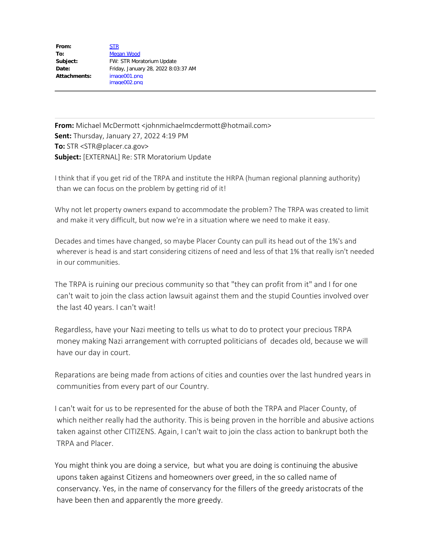| From:        | <b>STR</b>                          |
|--------------|-------------------------------------|
| To:          | Megan Wood                          |
| Subject:     | FW: STR Moratorium Update           |
| Date:        | Friday, January 28, 2022 8:03:37 AM |
| Attachments: | image001.png                        |
|              | image002.png                        |

**From:** Michael McDermott <johnmichaelmcdermott@hotmail.com> **Sent:** Thursday, January 27, 2022 4:19 PM **To:** STR <STR@placer.ca.gov> **Subject:** [EXTERNAL] Re: STR Moratorium Update

I think that if you get rid of the TRPA and institute the HRPA (human regional planning authority) than we can focus on the problem by getting rid of it!

Why not let property owners expand to accommodate the problem? The TRPA was created to limit and make it very difficult, but now we're in a situation where we need to make it easy.

Decades and times have changed, so maybe Placer County can pull its head out of the 1%'s and wherever is head is and start considering citizens of need and less of that 1% that really isn't needed in our communities.

The TRPA is ruining our precious community so that "they can profit from it" and I for one can't wait to join the class action lawsuit against them and the stupid Counties involved over the last 40 years. I can't wait!

Regardless, have your Nazi meeting to tells us what to do to protect your precious TRPA money making Nazi arrangement with corrupted politicians of decades old, because we will have our day in court.

Reparations are being made from actions of cities and counties over the last hundred years in communities from every part of our Country.

I can't wait for us to be represented for the abuse of both the TRPA and Placer County, of which neither really had the authority. This is being proven in the horrible and abusive actions taken against other CITIZENS. Again, I can't wait to join the class action to bankrupt both the TRPA and Placer.

You might think you are doing a service, but what you are doing is continuing the abusive upons taken against Citizens and homeowners over greed, in the so called name of conservancy. Yes, in the name of conservancy for the fillers of the greedy aristocrats of the have been then and apparently the more greedy.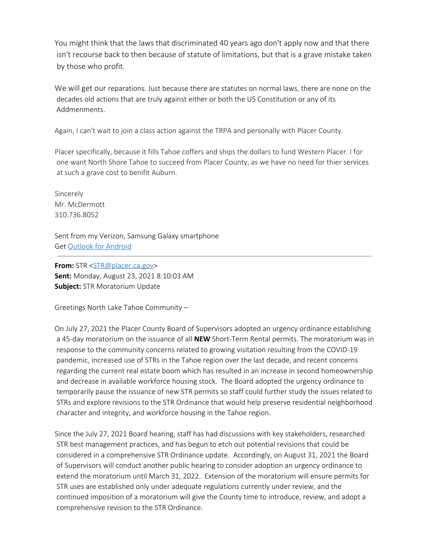You might think that the laws that discriminated 40 years ago don't apply now and that there isn't recourse back to then because of statute of limitations, but that is a grave mistake taken by those who profit.

We will get our reparations. Just because there are statutes on normal laws, there are none on the decades old actions that are truly against either or both the US Constitution or any of its Addmenments.

Again, I can't wait to join a class action against the TRPA and personally with Placer County.

Placer specifically, because it fills Tahoe coffers and ships the dollars to fund Western Placer. I for one want North Shore Tahoe to succeed from Placer County, as we have no need for thier services at such a grave cost to benifit Auburn.

Sincerely Mr. McDermott 310.736.8052

Sent from my Verizon, Samsung Galaxy smartphone Get [Outlook](https://protect-us.mimecast.com/s/zGVECG6EnYfBDK1RSKtDC0?domain=aka.ms) for Android

**From:** STR [<STR@placer.ca.gov](mailto:STR@placer.ca.gov)> **Sent:** Monday, August 23, 2021 8:10:03 AM **Subject:** STR Moratorium Update

Greetings North Lake Tahoe Community –

On July 27, 2021 the Placer County Board of Supervisors adopted an urgency ordinance establishing a 45-day moratorium on the issuance of all **NEW** Short-Term Rental permits. The moratorium was in response to the community concerns related to growing visitation resulting from the COVID-19 pandemic, increased use of STRs in the Tahoe region over the last decade, and recent concerns regarding the current real estate boom which has resulted in an increase in second homeownership and decrease in available workforce housing stock. The Board adopted the urgency ordinance to temporarily pause the issuance of new STR permits so staff could further study the issues related to STRs and explore revisions to the STR Ordinance that would help preserve residential neighborhood character and integrity, and workforce housing in the Tahoe region.

Since the July 27, 2021 Board hearing, staff has had discussions with key stakeholders, researched STR best management practices, and has begun to etch out potential revisions that could be considered in a comprehensive STR Ordinance update. Accordingly, on August 31, 2021 the Board of Supervisors will conduct another public hearing to consider adoption an urgency ordinance to extend the moratorium until March 31, 2022. Extension of the moratorium will ensure permits for STR uses are established only under adequate regulations currently under review, and the continued imposition of a moratorium will give the County time to introduce, review, and adopt a comprehensive revision to the STR Ordinance.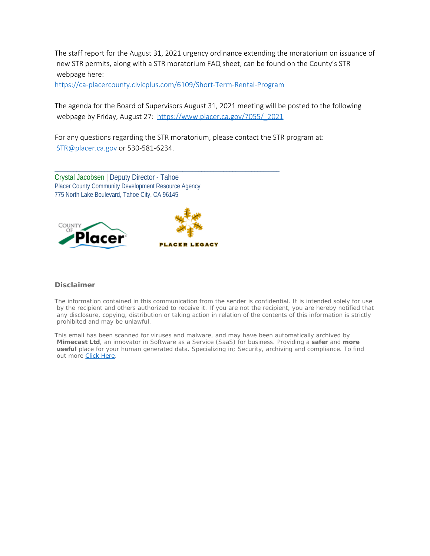The staff report for the August 31, 2021 urgency ordinance extending the moratorium on issuance of new STR permits, along with a STR moratorium FAQ sheet, can be found on the County's STR webpage here:

[https://ca-placercounty.civicplus.com/6109/Short-Term-Rental-Program](https://protect-us.mimecast.com/s/ltGrCJ6RDYfB63qvSGUTca?domain=ca-placercounty.civicplus.com)

\_\_\_\_\_\_\_\_\_\_\_\_\_\_\_\_\_\_\_\_\_\_\_\_\_\_\_\_\_\_\_\_\_\_\_\_\_\_\_\_\_\_\_\_\_\_\_\_\_\_\_\_\_\_\_\_\_\_\_\_\_\_\_\_\_\_\_\_\_\_\_\_

The agenda for the Board of Supervisors August 31, 2021 meeting will be posted to the following webpage by Friday, August 27: [https://www.placer.ca.gov/7055/\\_2021](https://protect-us.mimecast.com/s/vcKWCKrRXYHDXz2NU31lBO?domain=placer.ca.gov)

For any questions regarding the STR moratorium, please contact the STR program at: [STR@placer.ca.gov](mailto:STR@placer.ca.gov) or 530-581-6234.

Crystal Jacobsen | Deputy Director - Tahoe Placer County Community Development Resource Agency 775 North Lake Boulevard, Tahoe City, CA 96145





#### **Disclaimer**

The information contained in this communication from the sender is confidential. It is intended solely for use by the recipient and others authorized to receive it. If you are not the recipient, you are hereby notified that any disclosure, copying, distribution or taking action in relation of the contents of this information is strictly prohibited and may be unlawful.

This email has been scanned for viruses and malware, and may have been automatically archived by **Mimecast Ltd**, an innovator in Software as a Service (SaaS) for business. Providing a **safer** and **more useful** place for your human generated data. Specializing in; Security, archiving and compliance. To find out more [Click Here](https://protect-us.mimecast.com/s/oGffCL9R6YFkGyRrim6y3S?domain=mimecast.com/).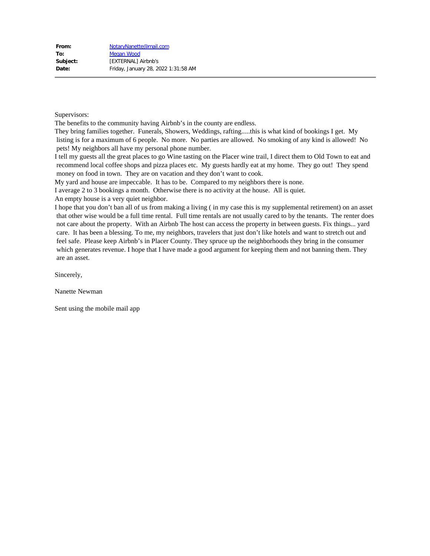Supervisors:

The benefits to the community having Airbnb's in the county are endless.

They bring families together. Funerals, Showers, Weddings, rafting.....this is what kind of bookings I get. My listing is for a maximum of 6 people. No more. No parties are allowed. No smoking of any kind is allowed! No pets! My neighbors all have my personal phone number.

I tell my guests all the great places to go Wine tasting on the Placer wine trail, I direct them to Old Town to eat and recommend local coffee shops and pizza places etc. My guests hardly eat at my home. They go out! They spend money on food in town. They are on vacation and they don't want to cook.

My yard and house are impeccable. It has to be. Compared to my neighbors there is none.

I average 2 to 3 bookings a month. Otherwise there is no activity at the house. All is quiet.

An empty house is a very quiet neighbor.

I hope that you don't ban all of us from making a living ( in my case this is my supplemental retirement) on an asset that other wise would be a full time rental. Full time rentals are not usually cared to by the tenants. The renter does not care about the property. With an Airbnb The host can access the property in between guests. Fix things... yard care. It has been a blessing. To me, my neighbors, travelers that just don't like hotels and want to stretch out and feel safe. Please keep Airbnb's in Placer County. They spruce up the neighborhoods they bring in the consumer which generates revenue. I hope that I have made a good argument for keeping them and not banning them. They are an asset.

Sincerely,

Nanette Newman

Sent using the mobile mail app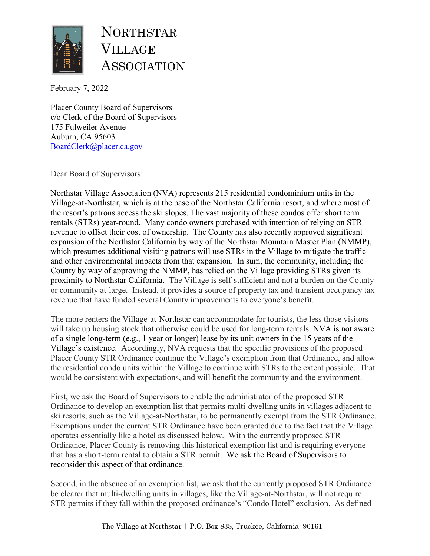

NORTHSTAR VILLAGE ASSOCIATION

February 7, 2022

Placer County Board of Supervisors c/o Clerk of the Board of Supervisors 175 Fulweiler Avenue Auburn, CA 95603 [BoardClerk@placer.ca.gov](mailto:BoardClerk@placer.ca.gov)

Dear Board of Supervisors:

Northstar Village Association (NVA) represents 215 residential condominium units in the Village-at-Northstar, which is at the base of the Northstar California resort, and where most of the resort's patrons access the ski slopes. The vast majority of these condos offer short term rentals (STRs) year-round. Many condo owners purchased with intention of relying on STR revenue to offset their cost of ownership. The County has also recently approved significant expansion of the Northstar California by way of the Northstar Mountain Master Plan (NMMP), which presumes additional visiting patrons will use STRs in the Village to mitigate the traffic and other environmental impacts from that expansion. In sum, the community, including the County by way of approving the NMMP, has relied on the Village providing STRs given its proximity to Northstar California. The Village is self-sufficient and not a burden on the County or community at-large. Instead, it provides a source of property tax and transient occupancy tax revenue that have funded several County improvements to everyone's benefit.

The more renters the Village-at-Northstar can accommodate for tourists, the less those visitors will take up housing stock that otherwise could be used for long-term rentals. NVA is not aware of a single long-term (e.g., 1 year or longer) lease by its unit owners in the 15 years of the Village's existence. Accordingly, NVA requests that the specific provisions of the proposed Placer County STR Ordinance continue the Village's exemption from that Ordinance, and allow the residential condo units within the Village to continue with STRs to the extent possible. That would be consistent with expectations, and will benefit the community and the environment.

First, we ask the Board of Supervisors to enable the administrator of the proposed STR Ordinance to develop an exemption list that permits multi-dwelling units in villages adjacent to ski resorts, such as the Village-at-Northstar, to be permanently exempt from the STR Ordinance. Exemptions under the current STR Ordinance have been granted due to the fact that the Village operates essentially like a hotel as discussed below. With the currently proposed STR Ordinance, Placer County is removing this historical exemption list and is requiring everyone that has a short-term rental to obtain a STR permit. We ask the Board of Supervisors to reconsider this aspect of that ordinance.

Second, in the absence of an exemption list, we ask that the currently proposed STR Ordinance be clearer that multi-dwelling units in villages, like the Village-at-Northstar, will not require STR permits if they fall within the proposed ordinance's "Condo Hotel" exclusion. As defined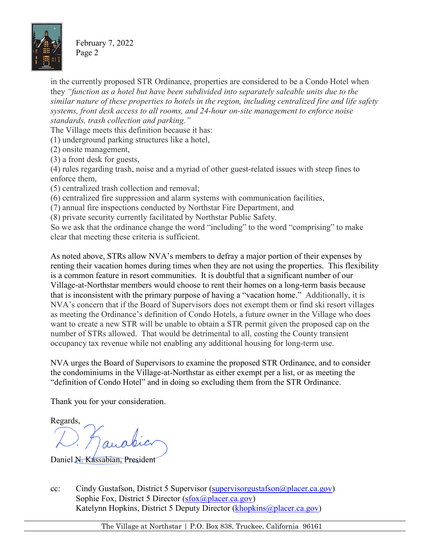

February 7, 2022 Page 2

in the currently proposed STR Ordinance, properties are considered to be a Condo Hotel when they *"function as a hotel but have been subdivided into separately saleable units due to the similar nature of these properties to hotels in the region, including centralized fire and life safety systems, front desk access to all rooms, and 24-hour on-site management to enforce noise standards, trash collection and parking."*

The Village meets this definition because it has:

- (1) underground parking structures like a hotel,
- (2) onsite management,
- (3) a front desk for guests,

(4) rules regarding trash, noise and a myriad of other guest-related issues with steep fines to enforce them,

- (5) centralized trash collection and removal;
- (6) centralized fire suppression and alarm systems with communication facilities,
- (7) annual fire inspections conducted by Northstar Fire Department, and
- (8) private security currently facilitated by Northstar Public Safety.

So we ask that the ordinance change the word "including" to the word "comprising" to make clear that meeting these criteria is sufficient.

As noted above, STRs allow NVA's members to defray a major portion of their expenses by renting their vacation homes during times when they are not using the properties. This flexibility is a common feature in resort communities. It is doubtful that a significant number of our Village-at-Northstar members would choose to rent their homes on a long-term basis because that is inconsistent with the primary purpose of having a "vacation home." Additionally, it is NVA's concern that if the Board of Supervisors does not exempt them or find ski resort villages as meeting the Ordinance's definition of Condo Hotels, a future owner in the Village who does want to create a new STR will be unable to obtain a STR permit given the proposed cap on the number of STRs allowed. That would be detrimental to all, costing the County transient occupancy tax revenue while not enabling any additional housing for long-term use.

NVA urges the Board of Supervisors to examine the proposed STR Ordinance, and to consider the condominiums in the Village-at-Northstar as either exempt per a list, or as meeting the "definition of Condo Hotel" and in doing so excluding them from the STR Ordinance.

Thank you for your consideration.

Regards,

Daniel N. Kassabian, President

cc: Cindy Gustafson, District 5 Supervisor (supervisorgustafson  $\omega$  placer.ca.gov) Sophie Fox, District 5 Director [\(sfox@placer.ca.gov\)](mailto:sfox@placer.ca.gov) Katelynn Hopkins, District 5 Deputy Director [\(khopkins@placer.ca.gov\)](mailto:khopkins@placer.ca.gov)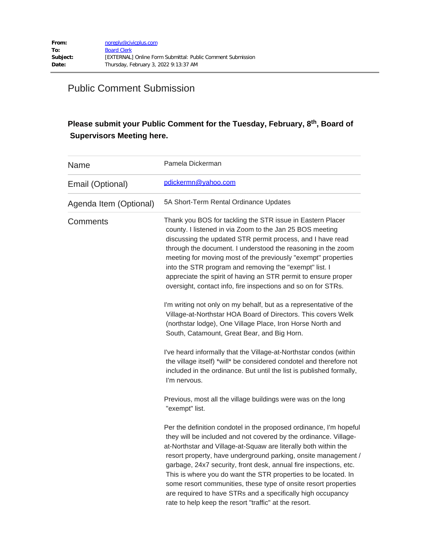# Public Comment Submission

## Please submit your Public Comment for the Tuesday, February, 8<sup>th</sup>, Board of  **Supervisors Meeting here.**

| Name                   | Pamela Dickerman                                                                                                                                                                                                                                                                                                                                                                                                                                                                                                                                                                                              |
|------------------------|---------------------------------------------------------------------------------------------------------------------------------------------------------------------------------------------------------------------------------------------------------------------------------------------------------------------------------------------------------------------------------------------------------------------------------------------------------------------------------------------------------------------------------------------------------------------------------------------------------------|
| Email (Optional)       | pdickermn@yahoo.com                                                                                                                                                                                                                                                                                                                                                                                                                                                                                                                                                                                           |
| Agenda Item (Optional) | 5A Short-Term Rental Ordinance Updates                                                                                                                                                                                                                                                                                                                                                                                                                                                                                                                                                                        |
| Comments               | Thank you BOS for tackling the STR issue in Eastern Placer<br>county. I listened in via Zoom to the Jan 25 BOS meeting<br>discussing the updated STR permit process, and I have read<br>through the document. I understood the reasoning in the zoom<br>meeting for moving most of the previously "exempt" properties<br>into the STR program and removing the "exempt" list. I<br>appreciate the spirit of having an STR permit to ensure proper<br>oversight, contact info, fire inspections and so on for STRs.                                                                                            |
|                        | I'm writing not only on my behalf, but as a representative of the<br>Village-at-Northstar HOA Board of Directors. This covers Welk<br>(northstar lodge), One Village Place, Iron Horse North and<br>South, Catamount, Great Bear, and Big Horn.                                                                                                                                                                                                                                                                                                                                                               |
|                        | I've heard informally that the Village-at-Northstar condos (within<br>the village itself) *will* be considered condotel and therefore not<br>included in the ordinance. But until the list is published formally,<br>I'm nervous.                                                                                                                                                                                                                                                                                                                                                                             |
|                        | Previous, most all the village buildings were was on the long<br>"exempt" list.                                                                                                                                                                                                                                                                                                                                                                                                                                                                                                                               |
|                        | Per the definition condotel in the proposed ordinance, I'm hopeful<br>they will be included and not covered by the ordinance. Village-<br>at-Northstar and Village-at-Squaw are literally both within the<br>resort property, have underground parking, onsite management /<br>garbage, 24x7 security, front desk, annual fire inspections, etc.<br>This is where you do want the STR properties to be located. In<br>some resort communities, these type of onsite resort properties<br>are required to have STRs and a specifically high occupancy<br>rate to help keep the resort "traffic" at the resort. |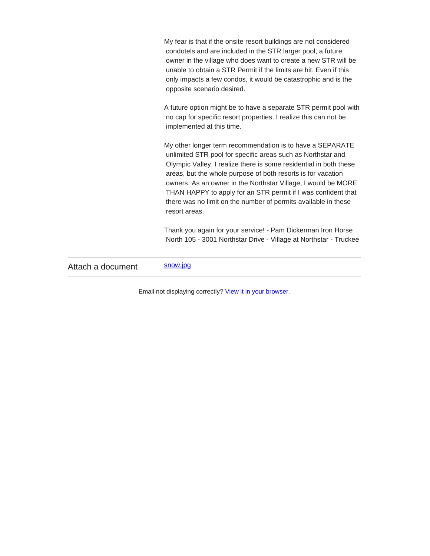My fear is that if the onsite resort buildings are not considered condotels and are included in the STR larger pool, a future owner in the village who does want to create a new STR will be unable to obtain a STR Permit if the limits are hit. Even if this only impacts a few condos, it would be catastrophic and is the opposite scenario desired.

A future option might be to have a separate STR permit pool with no cap for specific resort properties. I realize this can not be implemented at this time.

My other longer term recommendation is to have a SEPARATE unlimited STR pool for specific areas such as Northstar and Olympic Valley. I realize there is some residential in both these areas, but the whole purpose of both resorts is for vacation owners. As an owner in the Northstar Village, I would be MORE THAN HAPPY to apply for an STR permit if I was confident that there was no limit on the number of permits available in these resort areas.

Thank you again for your service! - Pam Dickerman Iron Horse North 105 - 3001 Northstar Drive - Village at Northstar - Truckee

Attach a document [snow.jpg](https://protect-us.mimecast.com/s/Vc3NC4xJmktYQyA1CxjEB-?domain=placer.ca.gov)

Email not displaying correctly? [View it in your browser.](https://protect-us.mimecast.com/s/1PR4C5ygnlHgQoYGfyBs5n?domain=placer.ca.gov)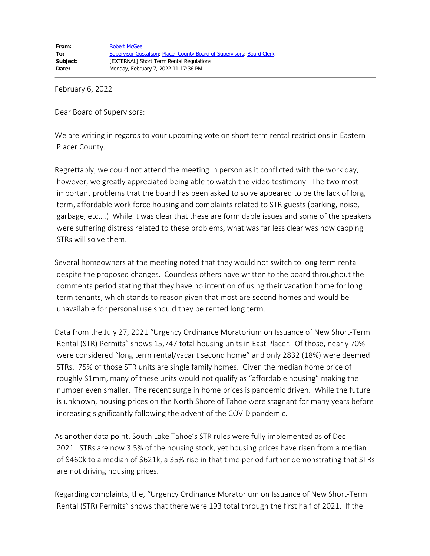February 6, 2022

Dear Board of Supervisors:

We are writing in regards to your upcoming vote on short term rental restrictions in Eastern Placer County.

Regrettably, we could not attend the meeting in person as it conflicted with the work day, however, we greatly appreciated being able to watch the video testimony. The two most important problems that the board has been asked to solve appeared to be the lack of long term, affordable work force housing and complaints related to STR guests (parking, noise, garbage, etc….) While it was clear that these are formidable issues and some of the speakers were suffering distress related to these problems, what was far less clear was how capping STRs will solve them.

Several homeowners at the meeting noted that they would not switch to long term rental despite the proposed changes. Countless others have written to the board throughout the comments period stating that they have no intention of using their vacation home for long term tenants, which stands to reason given that most are second homes and would be unavailable for personal use should they be rented long term.

Data from the July 27, 2021 "Urgency Ordinance Moratorium on Issuance of New Short-Term Rental (STR) Permits" shows 15,747 total housing units in East Placer. Of those, nearly 70% were considered "long term rental/vacant second home" and only 2832 (18%) were deemed STRs. 75% of those STR units are single family homes. Given the median home price of roughly \$1mm, many of these units would not qualify as "affordable housing" making the number even smaller. The recent surge in home prices is pandemic driven. While the future is unknown, housing prices on the North Shore of Tahoe were stagnant for many years before increasing significantly following the advent of the COVID pandemic.

As another data point, South Lake Tahoe's STR rules were fully implemented as of Dec 2021. STRs are now 3.5% of the housing stock, yet housing prices have risen from a median of \$460k to a median of \$621k, a 35% rise in that time period further demonstrating that STRs are not driving housing prices.

Regarding complaints, the, "Urgency Ordinance Moratorium on Issuance of New Short-Term Rental (STR) Permits" shows that there were 193 total through the first half of 2021. If the